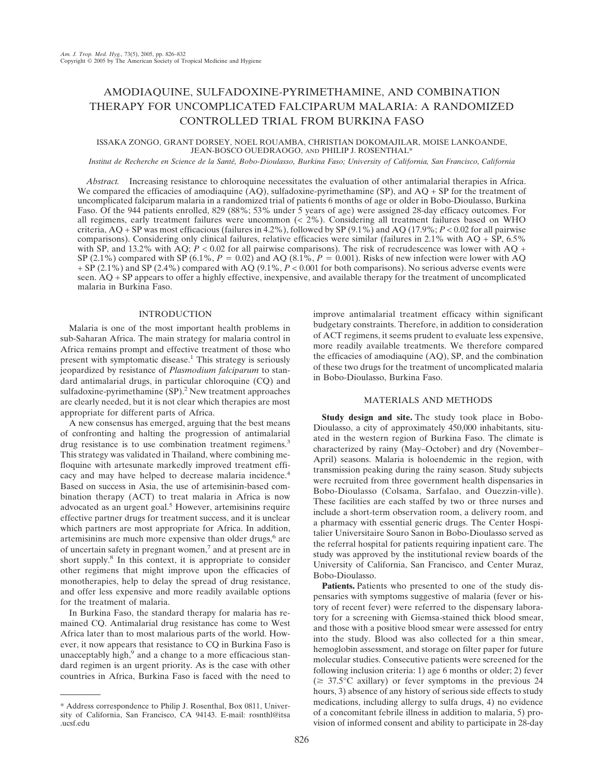# AMODIAQUINE, SULFADOXINE-PYRIMETHAMINE, AND COMBINATION THERAPY FOR UNCOMPLICATED FALCIPARUM MALARIA: A RANDOMIZED CONTROLLED TRIAL FROM BURKINA FASO

## ISSAKA ZONGO, GRANT DORSEY, NOEL ROUAMBA, CHRISTIAN DOKOMAJILAR, MOISE LANKOANDE, JEAN-BOSCO OUEDRAOGO, AND PHILIP J. ROSENTHAL\*

*Institut de Recherche en Science de la Santé, Bobo-Dioulasso, Burkina Faso; University of California, San Francisco, California*

*Abstract.* Increasing resistance to chloroquine necessitates the evaluation of other antimalarial therapies in Africa. We compared the efficacies of amodiaquine (AQ), sulfadoxine-pyrimethamine (SP), and AQ + SP for the treatment of uncomplicated falciparum malaria in a randomized trial of patients 6 months of age or older in Bobo-Dioulasso, Burkina Faso. Of the 944 patients enrolled, 829 (88%; 53% under 5 years of age) were assigned 28-day efficacy outcomes. For all regimens, early treatment failures were uncommon (< 2%). Considering all treatment failures based on WHO criteria, AQ + SP was most efficacious (failures in 4.2%), followed by SP (9.1%) and AQ (17.9%; *P* < 0.02 for all pairwise comparisons). Considering only clinical failures, relative efficacies were similar (failures in 2.1% with AQ + SP, 6.5% with SP, and 13.2% with AQ;  $P < 0.02$  for all pairwise comparisons). The risk of recrudescence was lower with AQ + SP (2.1%) compared with SP (6.1%,  $P = 0.02$ ) and AQ (8.1%,  $P = 0.001$ ). Risks of new infection were lower with AQ + SP (2.1%) and SP (2.4%) compared with AQ (9.1%, *P* < 0.001 for both comparisons). No serious adverse events were seen. AQ + SP appears to offer a highly effective, inexpensive, and available therapy for the treatment of uncomplicated malaria in Burkina Faso.

### **INTRODUCTION**

Malaria is one of the most important health problems in sub-Saharan Africa. The main strategy for malaria control in Africa remains prompt and effective treatment of those who present with symptomatic disease.<sup>1</sup> This strategy is seriously jeopardized by resistance of *Plasmodium falciparum* to standard antimalarial drugs, in particular chloroquine (CQ) and sulfadoxine-pyrimethamine  $(SP)$ <sup>2</sup>. New treatment approaches are clearly needed, but it is not clear which therapies are most appropriate for different parts of Africa.

A new consensus has emerged, arguing that the best means of confronting and halting the progression of antimalarial drug resistance is to use combination treatment regimens.<sup>3</sup> This strategy was validated in Thailand, where combining mefloquine with artesunate markedly improved treatment efficacy and may have helped to decrease malaria incidence.4 Based on success in Asia, the use of artemisinin-based combination therapy (ACT) to treat malaria in Africa is now advocated as an urgent goal.<sup>5</sup> However, artemisinins require effective partner drugs for treatment success, and it is unclear which partners are most appropriate for Africa. In addition, artemisinins are much more expensive than older drugs,<sup>6</sup> are of uncertain safety in pregnant women, $<sup>7</sup>$  and at present are in</sup> short supply.<sup>8</sup> In this context, it is appropriate to consider other regimens that might improve upon the efficacies of monotherapies, help to delay the spread of drug resistance, and offer less expensive and more readily available options for the treatment of malaria.

In Burkina Faso, the standard therapy for malaria has remained CQ. Antimalarial drug resistance has come to West Africa later than to most malarious parts of the world. However, it now appears that resistance to CQ in Burkina Faso is unacceptably high, $9$  and a change to a more efficacious standard regimen is an urgent priority. As is the case with other countries in Africa, Burkina Faso is faced with the need to

\* Address correspondence to Philip J. Rosenthal, Box 0811, University of California, San Francisco, CA 94143. E-mail: rosnthl@itsa .ucsf.edu

improve antimalarial treatment efficacy within significant budgetary constraints. Therefore, in addition to consideration of ACT regimens, it seems prudent to evaluate less expensive, more readily available treatments. We therefore compared the efficacies of amodiaquine (AQ), SP, and the combination of these two drugs for the treatment of uncomplicated malaria in Bobo-Dioulasso, Burkina Faso.

# MATERIALS AND METHODS

**Study design and site.** The study took place in Bobo-Dioulasso, a city of approximately 450,000 inhabitants, situated in the western region of Burkina Faso. The climate is characterized by rainy (May–October) and dry (November– April) seasons. Malaria is holoendemic in the region, with transmission peaking during the rainy season. Study subjects were recruited from three government health dispensaries in Bobo-Dioulasso (Colsama, Sarfalao, and Ouezzin-ville). These facilities are each staffed by two or three nurses and include a short-term observation room, a delivery room, and a pharmacy with essential generic drugs. The Center Hospitalier Universitaire Souro Sanon in Bobo-Dioulasso served as the referral hospital for patients requiring inpatient care. The study was approved by the institutional review boards of the University of California, San Francisco, and Center Muraz, Bobo-Dioulasso.

**Patients.** Patients who presented to one of the study dispensaries with symptoms suggestive of malaria (fever or history of recent fever) were referred to the dispensary laboratory for a screening with Giemsa-stained thick blood smear, and those with a positive blood smear were assessed for entry into the study. Blood was also collected for a thin smear, hemoglobin assessment, and storage on filter paper for future molecular studies. Consecutive patients were screened for the following inclusion criteria: 1) age 6 months or older; 2) fever  $(\geq 37.5^{\circ}$ C axillary) or fever symptoms in the previous 24 hours, 3) absence of any history of serious side effects to study medications, including allergy to sulfa drugs, 4) no evidence of a concomitant febrile illness in addition to malaria, 5) provision of informed consent and ability to participate in 28-day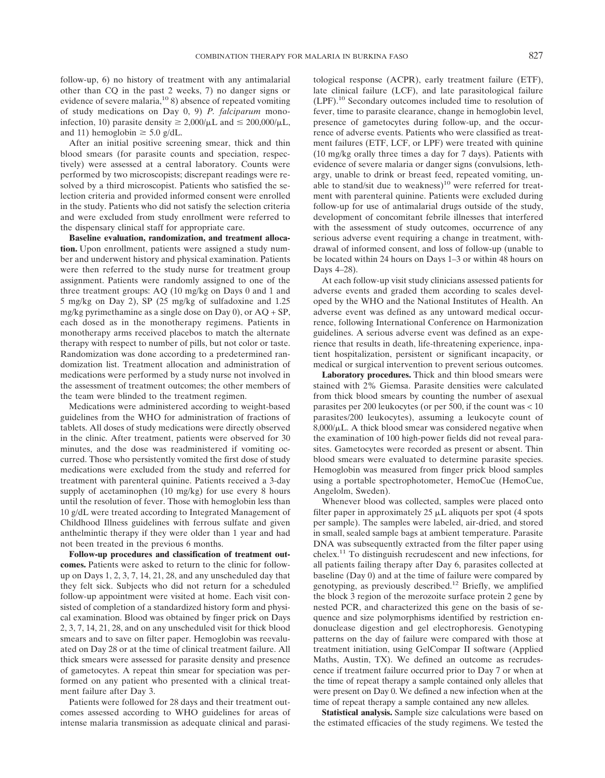follow-up, 6) no history of treatment with any antimalarial other than CQ in the past 2 weeks, 7) no danger signs or evidence of severe malaria, $^{10}$  8) absence of repeated vomiting of study medications on Day 0, 9) *P. falciparum* monoinfection, 10) parasite density  $\geq 2,000/\mu L$  and  $\leq 200,000/\mu L$ , and 11) hemoglobin  $\geq$  5.0 g/dL.

After an initial positive screening smear, thick and thin blood smears (for parasite counts and speciation, respectively) were assessed at a central laboratory. Counts were performed by two microscopists; discrepant readings were resolved by a third microscopist. Patients who satisfied the selection criteria and provided informed consent were enrolled in the study. Patients who did not satisfy the selection criteria and were excluded from study enrollment were referred to the dispensary clinical staff for appropriate care.

**Baseline evaluation, randomization, and treatment allocation.** Upon enrollment, patients were assigned a study number and underwent history and physical examination. Patients were then referred to the study nurse for treatment group assignment. Patients were randomly assigned to one of the three treatment groups: AQ (10 mg/kg on Days 0 and 1 and 5 mg/kg on Day 2), SP (25 mg/kg of sulfadoxine and 1.25 mg/kg pyrimethamine as a single dose on Day 0), or AQ + SP, each dosed as in the monotherapy regimens. Patients in monotherapy arms received placebos to match the alternate therapy with respect to number of pills, but not color or taste. Randomization was done according to a predetermined randomization list. Treatment allocation and administration of medications were performed by a study nurse not involved in the assessment of treatment outcomes; the other members of the team were blinded to the treatment regimen.

Medications were administered according to weight-based guidelines from the WHO for administration of fractions of tablets. All doses of study medications were directly observed in the clinic. After treatment, patients were observed for 30 minutes, and the dose was readministered if vomiting occurred. Those who persistently vomited the first dose of study medications were excluded from the study and referred for treatment with parenteral quinine. Patients received a 3-day supply of acetaminophen (10 mg/kg) for use every 8 hours until the resolution of fever. Those with hemoglobin less than 10 g/dL were treated according to Integrated Management of Childhood Illness guidelines with ferrous sulfate and given anthelmintic therapy if they were older than 1 year and had not been treated in the previous 6 months.

**Follow-up procedures and classification of treatment outcomes.** Patients were asked to return to the clinic for followup on Days 1, 2, 3, 7, 14, 21, 28, and any unscheduled day that they felt sick. Subjects who did not return for a scheduled follow-up appointment were visited at home. Each visit consisted of completion of a standardized history form and physical examination. Blood was obtained by finger prick on Days 2, 3, 7, 14, 21, 28, and on any unscheduled visit for thick blood smears and to save on filter paper. Hemoglobin was reevaluated on Day 28 or at the time of clinical treatment failure. All thick smears were assessed for parasite density and presence of gametocytes. A repeat thin smear for speciation was performed on any patient who presented with a clinical treatment failure after Day 3.

Patients were followed for 28 days and their treatment outcomes assessed according to WHO guidelines for areas of intense malaria transmission as adequate clinical and parasi-

tological response (ACPR), early treatment failure (ETF), late clinical failure (LCF), and late parasitological failure (LPF).10 Secondary outcomes included time to resolution of fever, time to parasite clearance, change in hemoglobin level, presence of gametocytes during follow-up, and the occurrence of adverse events. Patients who were classified as treatment failures (ETF, LCF, or LPF) were treated with quinine (10 mg/kg orally three times a day for 7 days). Patients with evidence of severe malaria or danger signs (convulsions, lethargy, unable to drink or breast feed, repeated vomiting, unable to stand/sit due to weakness)<sup>10</sup> were referred for treatment with parenteral quinine. Patients were excluded during follow-up for use of antimalarial drugs outside of the study, development of concomitant febrile illnesses that interfered with the assessment of study outcomes, occurrence of any serious adverse event requiring a change in treatment, withdrawal of informed consent, and loss of follow-up (unable to be located within 24 hours on Days 1–3 or within 48 hours on Days 4–28).

At each follow-up visit study clinicians assessed patients for adverse events and graded them according to scales developed by the WHO and the National Institutes of Health. An adverse event was defined as any untoward medical occurrence, following International Conference on Harmonization guidelines. A serious adverse event was defined as an experience that results in death, life-threatening experience, inpatient hospitalization, persistent or significant incapacity, or medical or surgical intervention to prevent serious outcomes.

**Laboratory procedures.** Thick and thin blood smears were stained with 2% Giemsa. Parasite densities were calculated from thick blood smears by counting the number of asexual parasites per 200 leukocytes (or per 500, if the count was < 10 parasites/200 leukocytes), assuming a leukocyte count of  $8,000/\mu L$ . A thick blood smear was considered negative when the examination of 100 high-power fields did not reveal parasites. Gametocytes were recorded as present or absent. Thin blood smears were evaluated to determine parasite species. Hemoglobin was measured from finger prick blood samples using a portable spectrophotometer, HemoCue (HemoCue, Angelolm, Sweden).

Whenever blood was collected, samples were placed onto filter paper in approximately  $25 \mu L$  aliquots per spot (4 spots per sample). The samples were labeled, air-dried, and stored in small, sealed sample bags at ambient temperature. Parasite DNA was subsequently extracted from the filter paper using chelex.11 To distinguish recrudescent and new infections, for all patients failing therapy after Day 6, parasites collected at baseline (Day 0) and at the time of failure were compared by genotyping, as previously described.12 Briefly, we amplified the block 3 region of the merozoite surface protein 2 gene by nested PCR, and characterized this gene on the basis of sequence and size polymorphisms identified by restriction endonuclease digestion and gel electrophoresis. Genotyping patterns on the day of failure were compared with those at treatment initiation, using GelCompar II software (Applied Maths, Austin, TX). We defined an outcome as recrudescence if treatment failure occurred prior to Day 7 or when at the time of repeat therapy a sample contained only alleles that were present on Day 0. We defined a new infection when at the time of repeat therapy a sample contained any new alleles.

**Statistical analysis.** Sample size calculations were based on the estimated efficacies of the study regimens. We tested the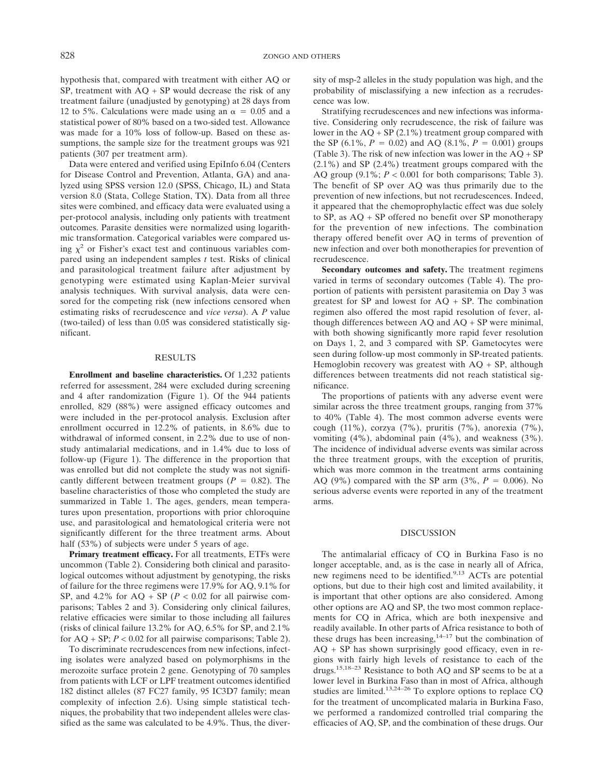hypothesis that, compared with treatment with either AQ or SP, treatment with  $AQ + SP$  would decrease the risk of any treatment failure (unadjusted by genotyping) at 28 days from 12 to 5%. Calculations were made using an  $\alpha = 0.05$  and a statistical power of 80% based on a two-sided test. Allowance was made for a 10% loss of follow-up. Based on these assumptions, the sample size for the treatment groups was 921 patients (307 per treatment arm).

Data were entered and verified using EpiInfo 6.04 (Centers for Disease Control and Prevention, Atlanta, GA) and analyzed using SPSS version 12.0 (SPSS, Chicago, IL) and Stata version 8.0 (Stata, College Station, TX). Data from all three sites were combined, and efficacy data were evaluated using a per-protocol analysis, including only patients with treatment outcomes. Parasite densities were normalized using logarithmic transformation. Categorical variables were compared using  $\chi^2$  or Fisher's exact test and continuous variables compared using an independent samples *t* test. Risks of clinical and parasitological treatment failure after adjustment by genotyping were estimated using Kaplan-Meier survival analysis techniques. With survival analysis, data were censored for the competing risk (new infections censored when estimating risks of recrudescence and *vice versa*). A *P* value (two-tailed) of less than 0.05 was considered statistically significant.

## RESULTS

**Enrollment and baseline characteristics.** Of 1,232 patients referred for assessment, 284 were excluded during screening and 4 after randomization (Figure 1). Of the 944 patients enrolled, 829 (88%) were assigned efficacy outcomes and were included in the per-protocol analysis. Exclusion after enrollment occurred in 12.2% of patients, in 8.6% due to withdrawal of informed consent, in 2.2% due to use of nonstudy antimalarial medications, and in 1.4% due to loss of follow-up (Figure 1). The difference in the proportion that was enrolled but did not complete the study was not significantly different between treatment groups  $(P = 0.82)$ . The baseline characteristics of those who completed the study are summarized in Table 1. The ages, genders, mean temperatures upon presentation, proportions with prior chloroquine use, and parasitological and hematological criteria were not significantly different for the three treatment arms. About half (53%) of subjects were under 5 years of age.

**Primary treatment efficacy.** For all treatments, ETFs were uncommon (Table 2). Considering both clinical and parasitological outcomes without adjustment by genotyping, the risks of failure for the three regimens were 17.9% for AQ, 9.1% for SP, and  $4.2\%$  for AQ + SP ( $P < 0.02$  for all pairwise comparisons; Tables 2 and 3). Considering only clinical failures, relative efficacies were similar to those including all failures (risks of clinical failure 13.2% for AQ, 6.5% for SP, and 2.1% for  $AQ + SP$ ;  $P < 0.02$  for all pairwise comparisons; Table 2).

To discriminate recrudescences from new infections, infecting isolates were analyzed based on polymorphisms in the merozoite surface protein 2 gene. Genotyping of 70 samples from patients with LCF or LPF treatment outcomes identified 182 distinct alleles (87 FC27 family, 95 IC3D7 family; mean complexity of infection 2.6). Using simple statistical techniques, the probability that two independent alleles were classified as the same was calculated to be 4.9%. Thus, the diversity of msp-2 alleles in the study population was high, and the probability of misclassifying a new infection as a recrudescence was low.

Stratifying recrudescences and new infections was informative. Considering only recrudescence, the risk of failure was lower in the  $AO + SP(2.1\%)$  treatment group compared with the SP (6.1%,  $P = 0.02$ ) and AQ (8.1%,  $P = 0.001$ ) groups (Table 3). The risk of new infection was lower in the  $AQ + SP$ (2.1%) and SP (2.4%) treatment groups compared with the AQ group  $(9.1\%; P < 0.001$  for both comparisons; Table 3). The benefit of SP over AQ was thus primarily due to the prevention of new infections, but not recrudescences. Indeed, it appeared that the chemoprophylactic effect was due solely to SP, as AQ + SP offered no benefit over SP monotherapy for the prevention of new infections. The combination therapy offered benefit over AQ in terms of prevention of new infection and over both monotherapies for prevention of recrudescence.

**Secondary outcomes and safety.** The treatment regimens varied in terms of secondary outcomes (Table 4). The proportion of patients with persistent parasitemia on Day 3 was greatest for  $SP$  and lowest for  $AQ + SP$ . The combination regimen also offered the most rapid resolution of fever, although differences between  $AQ$  and  $AQ$  +  $SP$  were minimal, with both showing significantly more rapid fever resolution on Days 1, 2, and 3 compared with SP. Gametocytes were seen during follow-up most commonly in SP-treated patients. Hemoglobin recovery was greatest with  $AQ + SP$ , although differences between treatments did not reach statistical significance.

The proportions of patients with any adverse event were similar across the three treatment groups, ranging from 37% to 40% (Table 4). The most common adverse events were cough (11%), corzya (7%), pruritis (7%), anorexia (7%), vomiting (4%), abdominal pain (4%), and weakness (3%). The incidence of individual adverse events was similar across the three treatment groups, with the exception of pruritis, which was more common in the treatment arms containing AQ (9%) compared with the SP arm (3%,  $P = 0.006$ ). No serious adverse events were reported in any of the treatment arms.

## DISCUSSION

The antimalarial efficacy of CQ in Burkina Faso is no longer acceptable, and, as is the case in nearly all of Africa, new regimens need to be identified.<sup>9,13</sup> ACTs are potential options, but due to their high cost and limited availability, it is important that other options are also considered. Among other options are AQ and SP, the two most common replacements for CQ in Africa, which are both inexpensive and readily available. In other parts of Africa resistance to both of these drugs has been increasing, $14-17$  but the combination of AQ + SP has shown surprisingly good efficacy, even in regions with fairly high levels of resistance to each of the drugs.15,18–23 Resistance to both AQ and SP seems to be at a lower level in Burkina Faso than in most of Africa, although studies are limited.13,24–26 To explore options to replace CQ for the treatment of uncomplicated malaria in Burkina Faso, we performed a randomized controlled trial comparing the efficacies of AQ, SP, and the combination of these drugs. Our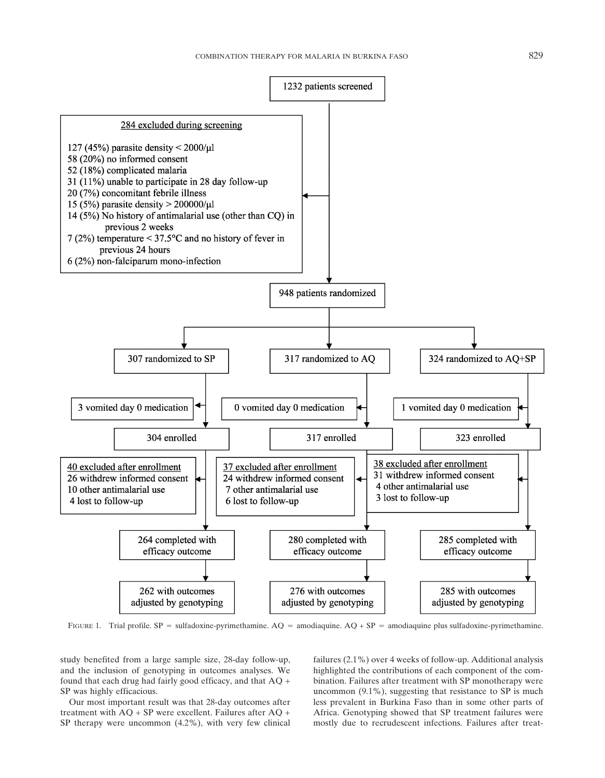

FIGURE 1. Trial profile. SP = sulfadoxine-pyrimethamine.  $AQ =$  amodiaquine.  $AQ + SP =$  amodiaquine plus sulfadoxine-pyrimethamine.

study benefited from a large sample size, 28-day follow-up, and the inclusion of genotyping in outcomes analyses. We found that each drug had fairly good efficacy, and that AQ + SP was highly efficacious.

Our most important result was that 28-day outcomes after treatment with AQ + SP were excellent. Failures after AQ + SP therapy were uncommon (4.2%), with very few clinical

failures (2.1%) over 4 weeks of follow-up. Additional analysis highlighted the contributions of each component of the combination. Failures after treatment with SP monotherapy were uncommon (9.1%), suggesting that resistance to SP is much less prevalent in Burkina Faso than in some other parts of Africa. Genotyping showed that SP treatment failures were mostly due to recrudescent infections. Failures after treat-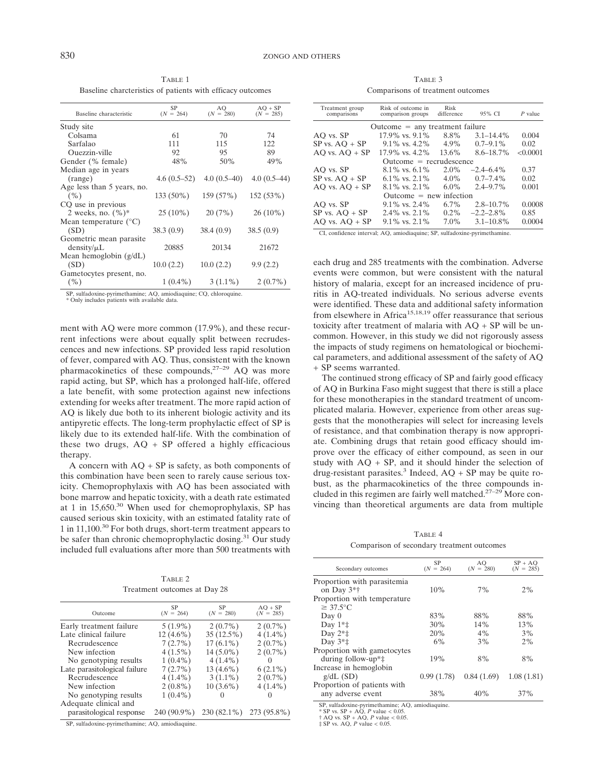TABLE 1 Baseline charcteristics of patients with efficacy outcomes

| Baseline characteristic        | SP<br>$(N = 264)$ | AO<br>$(N = 280)$ | $AO + SP$<br>$(N = 285)$ |
|--------------------------------|-------------------|-------------------|--------------------------|
| Study site                     |                   |                   |                          |
| Colsama                        | 61                | 70                | 74                       |
| Sarfalao                       | 111               | 115               | 122                      |
| Ouezzin-ville                  | 92                | 95                | 89                       |
| Gender (% female)              | 48%               | 50%               | 49%                      |
| Median age in years            |                   |                   |                          |
| (range)                        | $4.6(0.5-52)$     | $4.0(0.5-40)$     | $4.0(0.5-44)$            |
| Age less than 5 years, no.     |                   |                   |                          |
| (%)                            | 133 (50%)         | 159 (57%)         | 152 (53%)                |
| CQ use in previous             |                   |                   |                          |
| 2 weeks, no. $(\%)^*$          | $25(10\%)$        | 20(7%)            | $26(10\%)$               |
| Mean temperature $(^{\circ}C)$ |                   |                   |                          |
| (SD)                           | 38.3(0.9)         | 38.4(0.9)         | 38.5(0.9)                |
| Geometric mean parasite        |                   |                   |                          |
| density/μL                     | 20885             | 20134             | 21672                    |
| Mean hemoglobin $(g/dL)$       |                   |                   |                          |
| (SD)                           | 10.0(2.2)         | 10.0(2.2)         | 9.9(2.2)                 |
| Gametocytes present, no.       |                   |                   |                          |
| ( %)                           | $1(0.4\%)$        | $3(1.1\%)$        | $2(0.7\%)$               |

SP, sulfadoxine-pyrimethamine; AQ, amiodiaquine; CQ, chloroquine.

\* Only includes patients with available data.

ment with AQ were more common (17.9%), and these recurrent infections were about equally split between recrudescences and new infections. SP provided less rapid resolution of fever, compared with AQ. Thus, consistent with the known pharmacokinetics of these compounds, $27-29$  AQ was more rapid acting, but SP, which has a prolonged half-life, offered a late benefit, with some protection against new infections extending for weeks after treatment. The more rapid action of AQ is likely due both to its inherent biologic activity and its antipyretic effects. The long-term prophylactic effect of SP is likely due to its extended half-life. With the combination of these two drugs,  $AQ + SP$  offered a highly efficacious therapy.

A concern with  $AO + SP$  is safety, as both components of this combination have been seen to rarely cause serious toxicity. Chemoprophylaxis with AQ has been associated with bone marrow and hepatic toxicity, with a death rate estimated at 1 in  $15,650$ .<sup>30</sup> When used for chemoprophylaxis, SP has caused serious skin toxicity, with an estimated fatality rate of 1 in 11,100.30 For both drugs, short-term treatment appears to be safer than chronic chemoprophylactic dosing.<sup>31</sup> Our study included full evaluations after more than 500 treatments with

TABLE 2 Treatment outcomes at Day 28

| Outcome                      | SP<br>$(N = 264)$ | SP<br>$(N = 280)$ | $AO + SP$<br>$(N = 285)$ |
|------------------------------|-------------------|-------------------|--------------------------|
| Early treatment failure      | $5(1.9\%)$        | $2(0.7\%)$        | $2(0.7\%)$               |
| Late clinical failure        | $12(4.6\%)$       | $35(12.5\%)$      | $4(1.4\%)$               |
| Recrudescence                | $7(2.7\%)$        | $17(6.1\%)$       | $2(0.7\%)$               |
| New infection                | $4(1.5\%)$        | $14(5.0\%)$       | $2(0.7\%)$               |
| No genotyping results        | $1(0.4\%)$        | $4(1.4\%)$        | $\mathcal{O}$            |
| Late parasitological failure | $7(2.7\%)$        | $13(4.6\%)$       | $6(2.1\%)$               |
| Recrudescence                | $4(1.4\%)$        | $3(1.1\%)$        | $2(0.7\%)$               |
| New infection                | $2(0.8\%)$        | $10(3.6\%)$       | $4(1.4\%)$               |
| No genotyping results        | $1(0.4\%)$        |                   |                          |
| Adequate clinical and        |                   |                   |                          |
| parasitological response     | 240 (90.9%)       | 230 (82.1%)       | 273 (95.8%)              |

SP, sulfadoxine-pyrimethamine; AQ, amiodiaquine.

TABLE 3 Comparisons of treatment outcomes

| Treatment group<br>comparisons    | Risk of outcome in<br>comparison groups | Risk<br>difference | 95% CI         | $P$ value |  |
|-----------------------------------|-----------------------------------------|--------------------|----------------|-----------|--|
| $Outcome = any treatment failure$ |                                         |                    |                |           |  |
| AO vs. SP                         | $17.9\%$ vs. $9.1\%$                    | 8.8%               | $3.1 - 14.4\%$ | 0.004     |  |
| $SP$ vs. $AO + SP$                | $9.1\%$ vs. 4.2%                        | $4.9\%$            | $0.7 - 9.1\%$  | 0.02      |  |
| $AO vs. AO + SP$                  | $17.9\%$ vs. $4.2\%$                    | $13.6\%$           | $8.6 - 18.7\%$ | < 0.0001  |  |
| $Outcome = recrudescence$         |                                         |                    |                |           |  |
| AO vs. SP                         | $8.1\%$ vs. 6.1%                        | $2.0\%$            | $-2.4 - 6.4\%$ | 0.37      |  |
| $SP$ vs. $AO + SP$                | $6.1\%$ vs. $2.1\%$                     | $4.0\%$            | $0.7 - 7.4\%$  | 0.02      |  |
| $AO vs. AO + SP$                  | $8.1\%$ vs. $2.1\%$                     | $6.0\%$            | $2.4 - 9.7\%$  | 0.001     |  |
| $Outcome = new infection$         |                                         |                    |                |           |  |
| AO vs. SP                         | $9.1\%$ vs. $2.4\%$                     | $6.7\%$            | $2.8 - 10.7\%$ | 0.0008    |  |
| $SP$ vs. $AO + SP$                | $2.4\%$ vs. $2.1\%$                     | $0.2\%$            | $-2.2 - 2.8\%$ | 0.85      |  |
| $AO vs. AO + SP$                  | $9.1\%$ vs. $2.1\%$                     | $7.0\%$            | $3.1 - 10.8\%$ | 0.0004    |  |
|                                   |                                         |                    |                |           |  |

CI, confidence interval; AQ, amiodiaquine; SP, sulfadoxine-pyrimethamine.

each drug and 285 treatments with the combination. Adverse events were common, but were consistent with the natural history of malaria, except for an increased incidence of pruritis in AQ-treated individuals. No serious adverse events were identified. These data and additional safety information from elsewhere in Africa<sup>15,18,19</sup> offer reassurance that serious toxicity after treatment of malaria with  $AQ + SP$  will be uncommon. However, in this study we did not rigorously assess the impacts of study regimens on hematological or biochemical parameters, and additional assessment of the safety of AQ + SP seems warranted.

The continued strong efficacy of SP and fairly good efficacy of AQ in Burkina Faso might suggest that there is still a place for these monotherapies in the standard treatment of uncomplicated malaria. However, experience from other areas suggests that the monotherapies will select for increasing levels of resistance, and that combination therapy is now appropriate. Combining drugs that retain good efficacy should improve over the efficacy of either compound, as seen in our study with  $AO + SP$ , and it should hinder the selection of drug-resistant parasites.<sup>3</sup> Indeed,  $AQ + SP$  may be quite robust, as the pharmacokinetics of the three compounds included in this regimen are fairly well matched.<sup>27–29</sup> More convincing than theoretical arguments are data from multiple

TABLE 4 Comparison of secondary treatment outcomes

| Secondary outcomes                       | SP<br>$(N = 264)$ | AQ<br>$(N = 280)$ | $SP + AO$<br>$(N = 285)$ |
|------------------------------------------|-------------------|-------------------|--------------------------|
| Proportion with parasitemia              |                   |                   |                          |
| on Day $3*$ †                            | 10%               | 7%                | 2%                       |
| Proportion with temperature              |                   |                   |                          |
| $\geq 37.5$ °C                           |                   |                   |                          |
| Day 0                                    | 83%               | 88%               | 88%                      |
| Day $1**$ :                              | 30%               | 14%               | 13%                      |
| Day $2^*$                                | 20%               | $4\%$             | 3%                       |
| Day $3*$ :                               | 6%                | 3%                | 2%                       |
| Proportion with gametocytes              |                   |                   |                          |
| during follow-up <sup>*</sup> $\ddagger$ | 19%               | 8%                | 8%                       |
| Increase in hemoglobin                   |                   |                   |                          |
| $g/dL$ (SD)                              | 0.99(1.78)        | 0.84(1.69)        | 1.08(1.81)               |
| Proportion of patients with              |                   |                   |                          |
| any adverse event                        | 38%               | 40%               | 37%                      |

SP, sulfadoxine-pyrimethamine; AQ, amiodiaquine.

\* SP vs. SP + AQ, *P* value < 0.05. † AQ vs. SP + AQ, *P* value < 0.05. ‡ SP vs. AQ, *P* value < 0.05.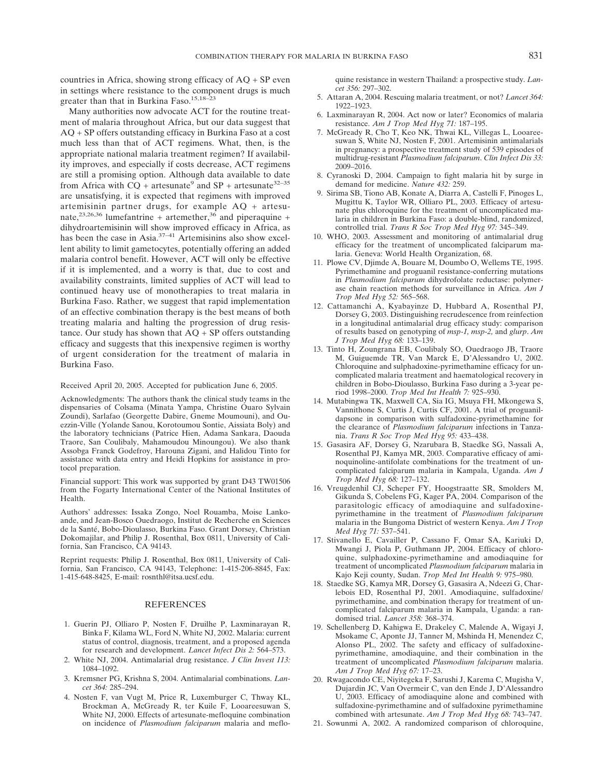countries in Africa, showing strong efficacy of  $AQ + SP$  even in settings where resistance to the component drugs is much greater than that in Burkina Faso.<sup>15,18–2</sup>

Many authorities now advocate ACT for the routine treatment of malaria throughout Africa, but our data suggest that AQ + SP offers outstanding efficacy in Burkina Faso at a cost much less than that of ACT regimens. What, then, is the appropriate national malaria treatment regimen? If availability improves, and especially if costs decrease, ACT regimens are still a promising option. Although data available to date from Africa with  $CQ$  + artesunate<sup>9</sup> and SP + artesunate<sup>32–35</sup> are unsatisfying, it is expected that regimens with improved artemisinin partner drugs, for example AQ + artesunate,<sup>23,26,36</sup> lumefantrine + artemether,<sup>36</sup> and piperaquine + dihydroartemisinin will show improved efficacy in Africa, as has been the case in Asia.<sup>37–41</sup> Artemisinins also show excellent ability to limit gametocytes, potentially offering an added malaria control benefit. However, ACT will only be effective if it is implemented, and a worry is that, due to cost and availability constraints, limited supplies of ACT will lead to continued heavy use of monotherapies to treat malaria in Burkina Faso. Rather, we suggest that rapid implementation of an effective combination therapy is the best means of both treating malaria and halting the progression of drug resistance. Our study has shown that  $AO + SP$  offers outstanding efficacy and suggests that this inexpensive regimen is worthy of urgent consideration for the treatment of malaria in Burkina Faso.

#### Received April 20, 2005. Accepted for publication June 6, 2005.

Acknowledgments: The authors thank the clinical study teams in the dispensaries of Colsama (Minata Yampa, Christine Ouaro Sylvain Zoundi), Sarlafao (Georgette Dabire, Gneme Moumouni), and Ouezzin-Ville (Yolande Sanou, Korotoumou Sontie, Aissiata Boly) and the laboratory technicians (Patrice Hien, Adama Sankara, Daouda Traore, San Coulibaly, Mahamoudou Minoungou). We also thank Assobga Franck Godefroy, Harouna Zigani, and Halidou Tinto for assistance with data entry and Heidi Hopkins for assistance in protocol preparation.

Financial support: This work was supported by grant D43 TW01506 from the Fogarty International Center of the National Institutes of Health.

Authors' addresses: Issaka Zongo, Noel Rouamba, Moise Lankoande, and Jean-Bosco Ouedraogo, Institut de Recherche en Sciences de la Santé, Bobo-Dioulasso, Burkina Faso. Grant Dorsey, Christian Dokomajilar, and Philip J. Rosenthal, Box 0811, University of California, San Francisco, CA 94143.

Reprint requests: Philip J. Rosenthal, Box 0811, University of California, San Francisco, CA 94143, Telephone: 1-415-206-8845, Fax: 1-415-648-8425, E-mail: rosnthl@itsa.ucsf.edu.

#### REFERENCES

- 1. Guerin PJ, Olliaro P, Nosten F, Druilhe P, Laxminarayan R, Binka F, Kilama WL, Ford N, White NJ, 2002. Malaria: current status of control, diagnosis, treatment, and a proposed agenda for research and development. *Lancet Infect Dis 2:* 564–573.
- 2. White NJ, 2004. Antimalarial drug resistance. *J Clin Invest 113:* 1084–1092.
- 3. Kremsner PG, Krishna S, 2004. Antimalarial combinations. *Lancet 364:* 285–294.
- 4. Nosten F, van Vugt M, Price R, Luxemburger C, Thway KL, Brockman A, McGready R, ter Kuile F, Looareesuwan S, White NJ, 2000. Effects of artesunate-mefloquine combination on incidence of *Plasmodium falciparum* malaria and meflo-

quine resistance in western Thailand: a prospective study. *Lancet 356:* 297–302.

- 5. Attaran A, 2004. Rescuing malaria treatment, or not? *Lancet 364:* 1922–1923.
- 6. Laxminarayan R, 2004. Act now or later? Economics of malaria resistance. *Am J Trop Med Hyg 71:* 187–195.
- 7. McGready R, Cho T, Keo NK, Thwai KL, Villegas L, Looareesuwan S, White NJ, Nosten F, 2001. Artemisinin antimalarials in pregnancy: a prospective treatment study of 539 episodes of multidrug-resistant *Plasmodium falciparum*. *Clin Infect Dis 33:* 2009–2016.
- 8. Cyranoski D, 2004. Campaign to fight malaria hit by surge in demand for medicine. *Nature 432:* 259.
- 9. Sirima SB, Tiono AB, Konate A, Diarra A, Castelli F, Pinoges L, Mugittu K, Taylor WR, Olliaro PL, 2003. Efficacy of artesunate plus chloroquine for the treatment of uncomplicated malaria in children in Burkina Faso: a double-blind, randomized, controlled trial. *Trans R Soc Trop Med Hyg 97:* 345–349.
- 10. WHO, 2003. Assessment and monitoring of antimalarial drug efficacy for the treatment of uncomplicated falciparum malaria. Geneva: World Health Organization, 68.
- 11. Plowe CV, Djimde A, Bouare M, Doumbo O, Wellems TE, 1995. Pyrimethamine and proguanil resistance-conferring mutations in *Plasmodium falciparum* dihydrofolate reductase: polymerase chain reaction methods for surveillance in Africa. *Am J Trop Med Hyg 52:* 565–568.
- 12. Cattamanchi A, Kyabayinze D, Hubbard A, Rosenthal PJ, Dorsey G, 2003. Distinguishing recrudescence from reinfection in a longitudinal antimalarial drug efficacy study: comparison of results based on genotyping of *msp-1, msp-2,* and *glurp*. *Am J Trop Med Hyg 68:* 133–139.
- 13. Tinto H, Zoungrana EB, Coulibaly SO, Ouedraogo JB, Traore M, Guiguemde TR, Van Marck E, D'Alessandro U, 2002. Chloroquine and sulphadoxine-pyrimethamine efficacy for uncomplicated malaria treatment and haematological recovery in children in Bobo-Dioulasso, Burkina Faso during a 3-year period 1998–2000. *Trop Med Int Health 7:* 925–930.
- 14. Mutabingwa TK, Maxwell CA, Sia IG, Msuya FH, Mkongewa S, Vannithone S, Curtis J, Curtis CF, 2001. A trial of proguanildapsone in comparison with sulfadoxine-pyrimethamine for the clearance of *Plasmodium falciparum* infections in Tanzania. *Trans R Soc Trop Med Hyg 95:* 433–438.
- 15. Gasasira AF, Dorsey G, Nzarubara B, Staedke SG, Nassali A, Rosenthal PJ, Kamya MR, 2003. Comparative efficacy of aminoquinoline-antifolate combinations for the treatment of uncomplicated falciparum malaria in Kampala, Uganda. *Am J Trop Med Hyg 68:* 127–132.
- 16. Vreugdenhil CJ, Scheper FY, Hoogstraatte SR, Smolders M, Gikunda S, Cobelens FG, Kager PA, 2004. Comparison of the parasitologic efficacy of amodiaquine and sulfadoxinepyrimethamine in the treatment of *Plasmodium falciparum* malaria in the Bungoma District of western Kenya. *Am J Trop Med Hyg 71:* 537–541.
- 17. Stivanello E, Cavailler P, Cassano F, Omar SA, Kariuki D, Mwangi J, Piola P, Guthmann JP, 2004. Efficacy of chloroquine, sulphadoxine-pyrimethamine and amodiaquine for treatment of uncomplicated *Plasmodium falciparum* malaria in Kajo Keji county, Sudan. *Trop Med Int Health 9:* 975–980.
- 18. Staedke SG, Kamya MR, Dorsey G, Gasasira A, Ndeezi G, Charlebois ED, Rosenthal PJ, 2001. Amodiaquine, sulfadoxine/ pyrimethamine, and combination therapy for treatment of uncomplicated falciparum malaria in Kampala, Uganda: a randomised trial. *Lancet 358:* 368–374.
- 19. Schellenberg D, Kahigwa E, Drakeley C, Malende A, Wigayi J, Msokame C, Aponte JJ, Tanner M, Mshinda H, Menendez C, Alonso PL, 2002. The safety and efficacy of sulfadoxinepyrimethamine, amodiaquine, and their combination in the treatment of uncomplicated *Plasmodium falciparum* malaria. *Am J Trop Med Hyg 67:* 17–23.
- 20. Rwagacondo CE, Niyitegeka F, Sarushi J, Karema C, Mugisha V, Dujardin JC, Van Overmeir C, van den Ende J, D'Alessandro U, 2003. Efficacy of amodiaquine alone and combined with sulfadoxine-pyrimethamine and of sulfadoxine pyrimethamine combined with artesunate. *Am J Trop Med Hyg 68:* 743–747.
- 21. Sowunmi A, 2002. A randomized comparison of chloroquine,